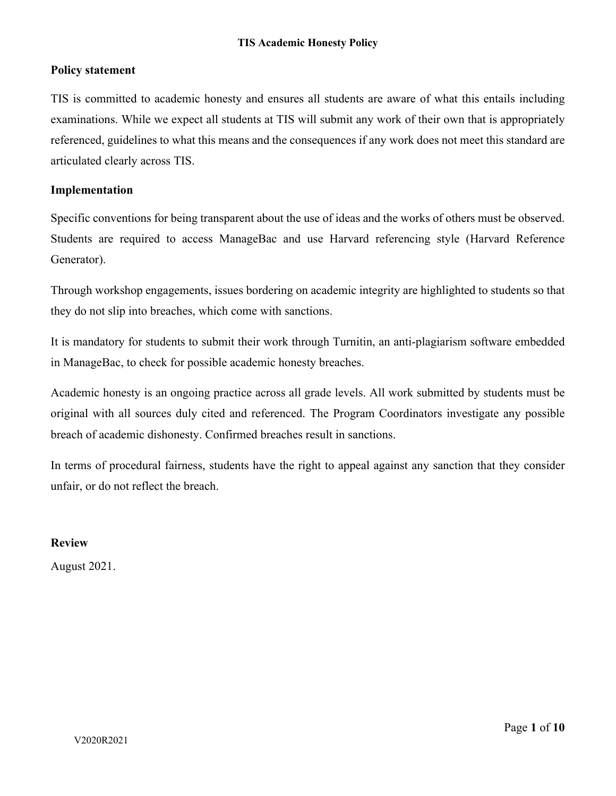## **Policy statement**

TIS is committed to academic honesty and ensures all students are aware of what this entails including examinations. While we expect all students at TIS will submit any work of their own that is appropriately referenced, guidelines to what this means and the consequences if any work does not meet this standard are articulated clearly across TIS.

## **Implementation**

Specific conventions for being transparent about the use of ideas and the works of others must be observed. Students are required to access ManageBac and use Harvard referencing style (Harvard Reference Generator).

Through workshop engagements, issues bordering on academic integrity are highlighted to students so that they do not slip into breaches, which come with sanctions.

It is mandatory for students to submit their work through Turnitin, an anti-plagiarism software embedded in ManageBac, to check for possible academic honesty breaches.

Academic honesty is an ongoing practice across all grade levels. All work submitted by students must be original with all sources duly cited and referenced. The Program Coordinators investigate any possible breach of academic dishonesty. Confirmed breaches result in sanctions.

In terms of procedural fairness, students have the right to appeal against any sanction that they consider unfair, or do not reflect the breach.

# **Review**

August 2021.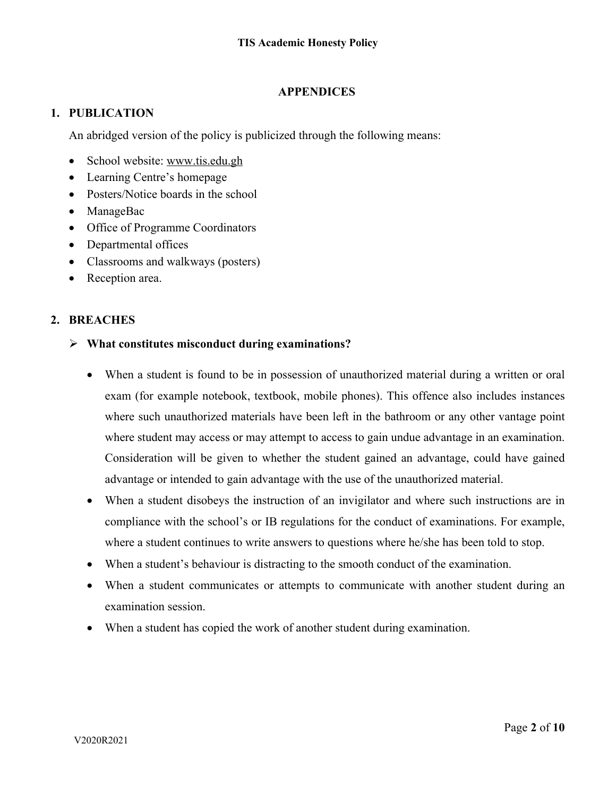# **APPENDICES**

# **1. PUBLICATION**

An abridged version of the policy is publicized through the following means:

- School website: www.tis.edu.gh
- Learning Centre's homepage
- Posters/Notice boards in the school
- ManageBac
- Office of Programme Coordinators
- Departmental offices
- Classrooms and walkways (posters)
- Reception area.

# **2. BREACHES**

# Ø **What constitutes misconduct during examinations?**

- When a student is found to be in possession of unauthorized material during a written or oral exam (for example notebook, textbook, mobile phones). This offence also includes instances where such unauthorized materials have been left in the bathroom or any other vantage point where student may access or may attempt to access to gain undue advantage in an examination. Consideration will be given to whether the student gained an advantage, could have gained advantage or intended to gain advantage with the use of the unauthorized material.
- When a student disobeys the instruction of an invigilator and where such instructions are in compliance with the school's or IB regulations for the conduct of examinations. For example, where a student continues to write answers to questions where he/she has been told to stop.
- When a student's behaviour is distracting to the smooth conduct of the examination.
- When a student communicates or attempts to communicate with another student during an examination session.
- When a student has copied the work of another student during examination.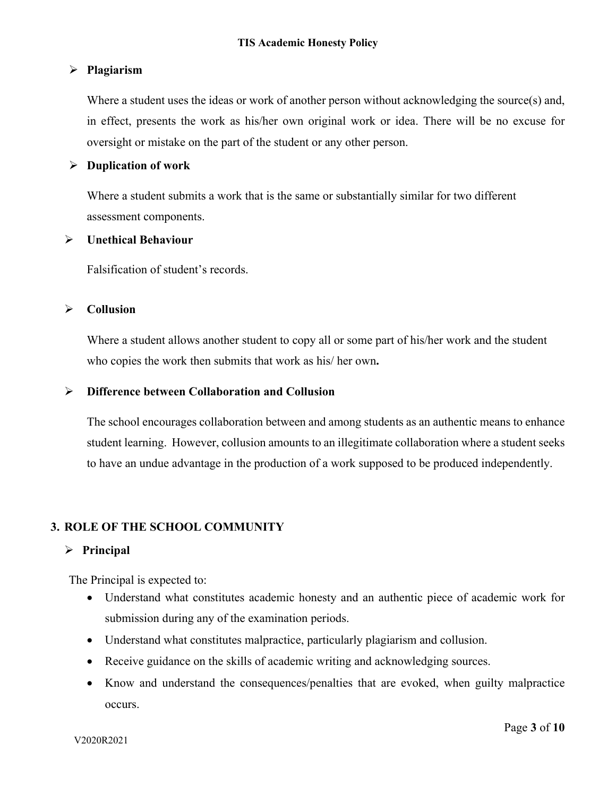## Ø **Plagiarism**

Where a student uses the ideas or work of another person without acknowledging the source(s) and, in effect, presents the work as his/her own original work or idea. There will be no excuse for oversight or mistake on the part of the student or any other person.

## Ø **Duplication of work**

Where a student submits a work that is the same or substantially similar for two different assessment components.

## Ø **Unethical Behaviour**

Falsification of student's records.

## Ø **Collusion**

Where a student allows another student to copy all or some part of his/her work and the student who copies the work then submits that work as his/ her own**.** 

## Ø **Difference between Collaboration and Collusion**

The school encourages collaboration between and among students as an authentic means to enhance student learning. However, collusion amounts to an illegitimate collaboration where a student seeks to have an undue advantage in the production of a work supposed to be produced independently.

# **3. ROLE OF THE SCHOOL COMMUNITY**

## Ø **Principal**

The Principal is expected to:

- Understand what constitutes academic honesty and an authentic piece of academic work for submission during any of the examination periods.
- Understand what constitutes malpractice, particularly plagiarism and collusion.
- Receive guidance on the skills of academic writing and acknowledging sources.
- Know and understand the consequences/penalties that are evoked, when guilty malpractice occurs.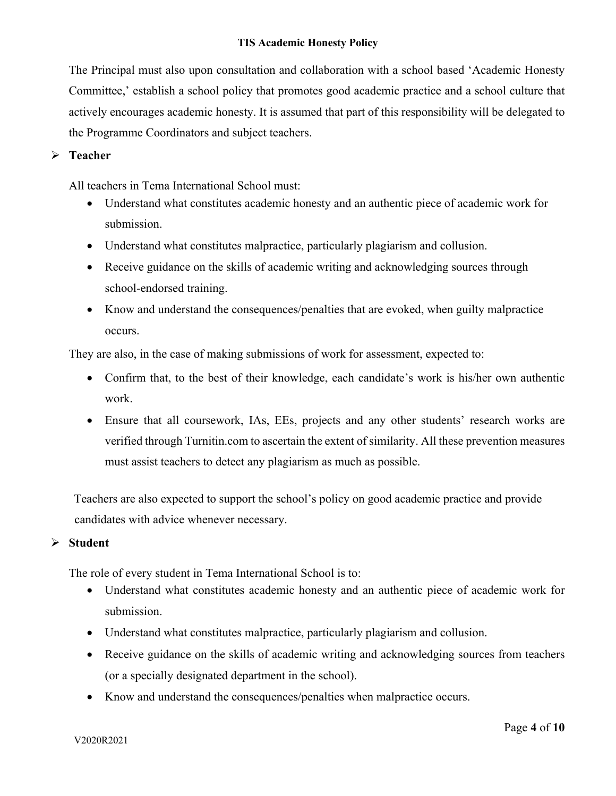#### **TIS Academic Honesty Policy**

The Principal must also upon consultation and collaboration with a school based 'Academic Honesty Committee,' establish a school policy that promotes good academic practice and a school culture that actively encourages academic honesty. It is assumed that part of this responsibility will be delegated to the Programme Coordinators and subject teachers.

## Ø **Teacher**

All teachers in Tema International School must:

- Understand what constitutes academic honesty and an authentic piece of academic work for submission.
- Understand what constitutes malpractice, particularly plagiarism and collusion.
- Receive guidance on the skills of academic writing and acknowledging sources through school-endorsed training.
- Know and understand the consequences/penalties that are evoked, when guilty malpractice occurs.

They are also, in the case of making submissions of work for assessment, expected to:

- Confirm that, to the best of their knowledge, each candidate's work is his/her own authentic work.
- Ensure that all coursework, IAs, EEs, projects and any other students' research works are verified through Turnitin.com to ascertain the extent of similarity. All these prevention measures must assist teachers to detect any plagiarism as much as possible.

Teachers are also expected to support the school's policy on good academic practice and provide candidates with advice whenever necessary.

#### Ø **Student**

The role of every student in Tema International School is to:

- Understand what constitutes academic honesty and an authentic piece of academic work for submission.
- Understand what constitutes malpractice, particularly plagiarism and collusion.
- Receive guidance on the skills of academic writing and acknowledging sources from teachers (or a specially designated department in the school).
- Know and understand the consequences/penalties when malpractice occurs.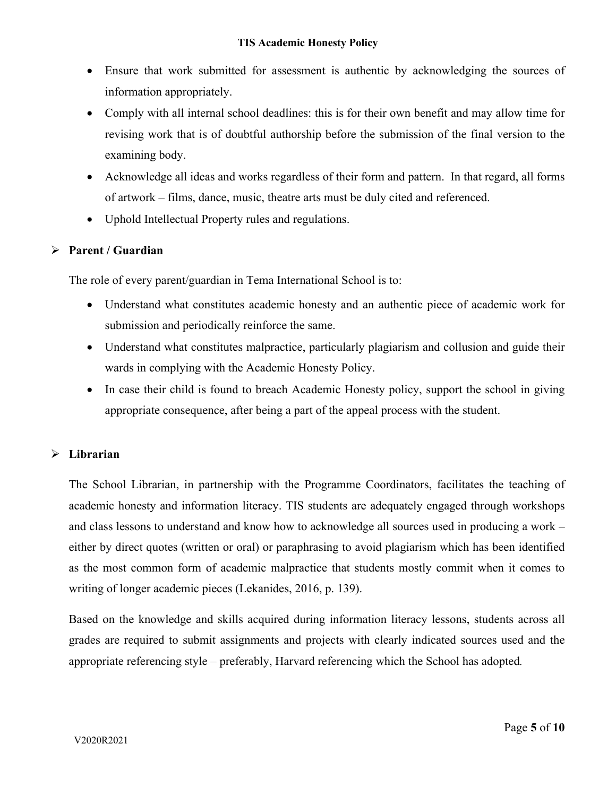- Ensure that work submitted for assessment is authentic by acknowledging the sources of information appropriately.
- Comply with all internal school deadlines: this is for their own benefit and may allow time for revising work that is of doubtful authorship before the submission of the final version to the examining body.
- Acknowledge all ideas and works regardless of their form and pattern. In that regard, all forms of artwork – films, dance, music, theatre arts must be duly cited and referenced.
- Uphold Intellectual Property rules and regulations.

# Ø **Parent / Guardian**

The role of every parent/guardian in Tema International School is to:

- Understand what constitutes academic honesty and an authentic piece of academic work for submission and periodically reinforce the same.
- Understand what constitutes malpractice, particularly plagiarism and collusion and guide their wards in complying with the Academic Honesty Policy.
- In case their child is found to breach Academic Honesty policy, support the school in giving appropriate consequence, after being a part of the appeal process with the student.

# Ø **Librarian**

The School Librarian, in partnership with the Programme Coordinators, facilitates the teaching of academic honesty and information literacy. TIS students are adequately engaged through workshops and class lessons to understand and know how to acknowledge all sources used in producing a work – either by direct quotes (written or oral) or paraphrasing to avoid plagiarism which has been identified as the most common form of academic malpractice that students mostly commit when it comes to writing of longer academic pieces (Lekanides, 2016, p. 139).

Based on the knowledge and skills acquired during information literacy lessons, students across all grades are required to submit assignments and projects with clearly indicated sources used and the appropriate referencing style – preferably, Harvard referencing which the School has adopted*.*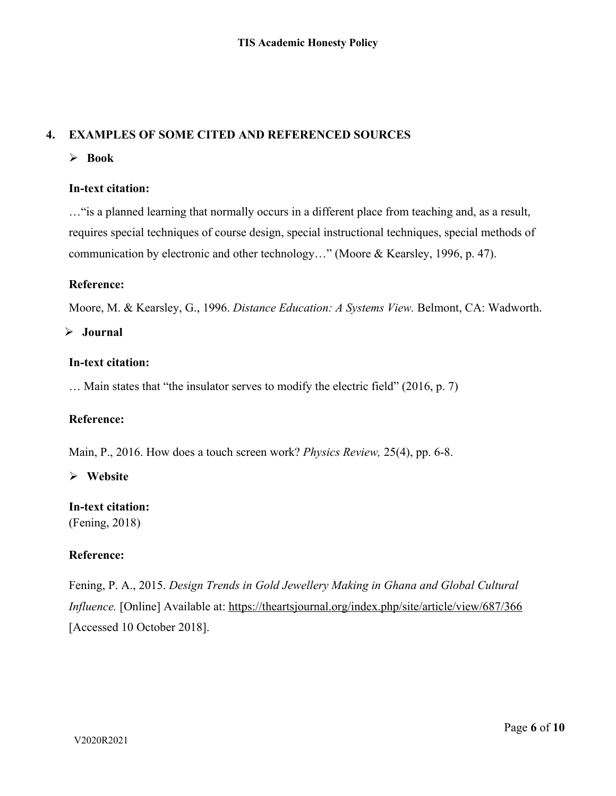# **4. EXAMPLES OF SOME CITED AND REFERENCED SOURCES**

Ø **Book** 

## **In-text citation:**

…"is a planned learning that normally occurs in a different place from teaching and, as a result, requires special techniques of course design, special instructional techniques, special methods of communication by electronic and other technology…" (Moore & Kearsley, 1996, p. 47).

## **Reference:**

Moore, M. & Kearsley, G., 1996. *Distance Education: A Systems View.* Belmont, CA: Wadworth.

Ø **Journal** 

## **In-text citation:**

… Main states that "the insulator serves to modify the electric field" (2016, p. 7)

## **Reference:**

Main, P., 2016. How does a touch screen work? *Physics Review,* 25(4), pp. 6-8.

## Ø **Website**

# **In-text citation:**

(Fening, 2018)

# **Reference:**

Fening, P. A., 2015. *Design Trends in Gold Jewellery Making in Ghana and Global Cultural Influence.* [Online] Available at: https://theartsjournal.org/index.php/site/article/view/687/366 [Accessed 10 October 2018].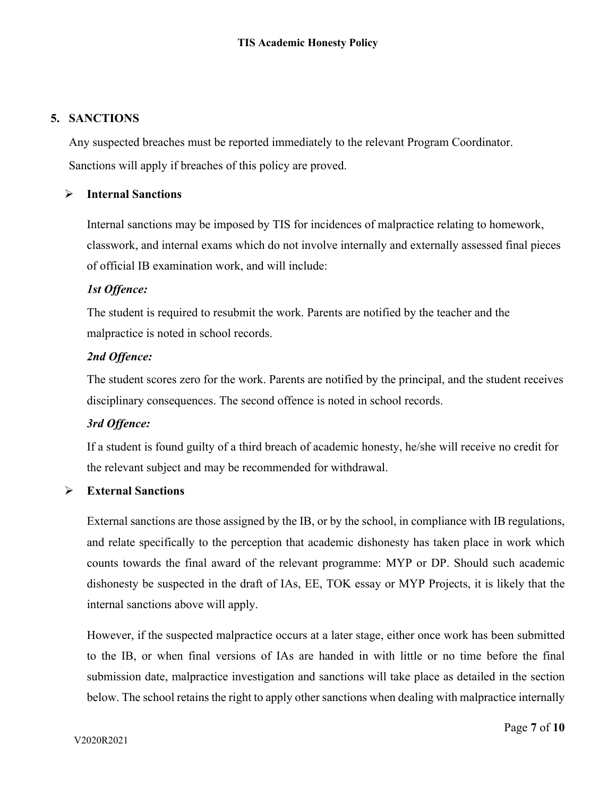## **5. SANCTIONS**

Any suspected breaches must be reported immediately to the relevant Program Coordinator. Sanctions will apply if breaches of this policy are proved.

## Ø **Internal Sanctions**

Internal sanctions may be imposed by TIS for incidences of malpractice relating to homework, classwork, and internal exams which do not involve internally and externally assessed final pieces of official IB examination work, and will include:

## *1st Offence:*

The student is required to resubmit the work. Parents are notified by the teacher and the malpractice is noted in school records.

## *2nd Offence:*

The student scores zero for the work. Parents are notified by the principal, and the student receives disciplinary consequences. The second offence is noted in school records.

# *3rd Offence:*

If a student is found guilty of a third breach of academic honesty, he/she will receive no credit for the relevant subject and may be recommended for withdrawal.

## Ø **External Sanctions**

External sanctions are those assigned by the IB, or by the school, in compliance with IB regulations, and relate specifically to the perception that academic dishonesty has taken place in work which counts towards the final award of the relevant programme: MYP or DP. Should such academic dishonesty be suspected in the draft of IAs, EE, TOK essay or MYP Projects, it is likely that the internal sanctions above will apply.

However, if the suspected malpractice occurs at a later stage, either once work has been submitted to the IB, or when final versions of IAs are handed in with little or no time before the final submission date, malpractice investigation and sanctions will take place as detailed in the section below. The school retains the right to apply other sanctions when dealing with malpractice internally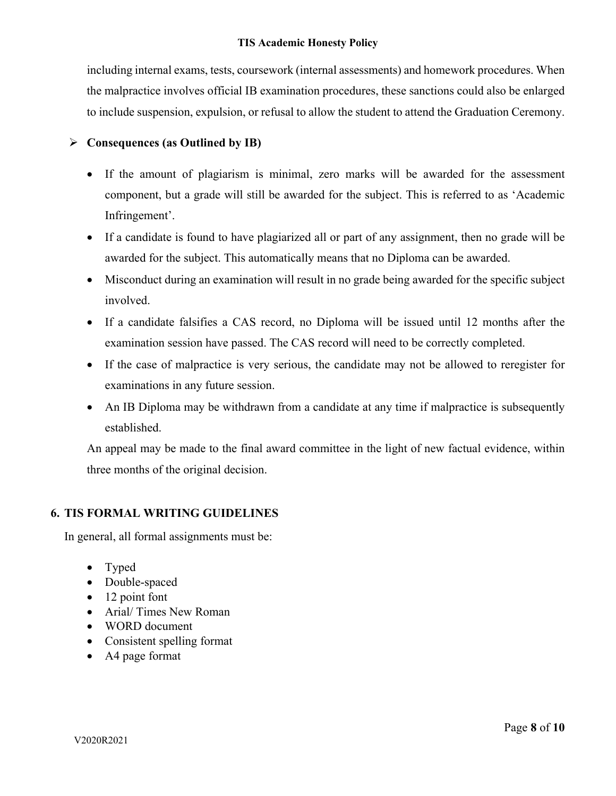including internal exams, tests, coursework (internal assessments) and homework procedures. When the malpractice involves official IB examination procedures, these sanctions could also be enlarged to include suspension, expulsion, or refusal to allow the student to attend the Graduation Ceremony.

# Ø **Consequences (as Outlined by IB)**

- If the amount of plagiarism is minimal, zero marks will be awarded for the assessment component, but a grade will still be awarded for the subject. This is referred to as 'Academic Infringement'.
- If a candidate is found to have plagiarized all or part of any assignment, then no grade will be awarded for the subject. This automatically means that no Diploma can be awarded.
- Misconduct during an examination will result in no grade being awarded for the specific subject involved.
- If a candidate falsifies a CAS record, no Diploma will be issued until 12 months after the examination session have passed. The CAS record will need to be correctly completed.
- If the case of malpractice is very serious, the candidate may not be allowed to reregister for examinations in any future session.
- An IB Diploma may be withdrawn from a candidate at any time if malpractice is subsequently established.

An appeal may be made to the final award committee in the light of new factual evidence, within three months of the original decision.

# **6. TIS FORMAL WRITING GUIDELINES**

In general, all formal assignments must be:

- Typed
- Double-spaced
- 12 point font
- Arial/ Times New Roman
- WORD document
- Consistent spelling format
- A4 page format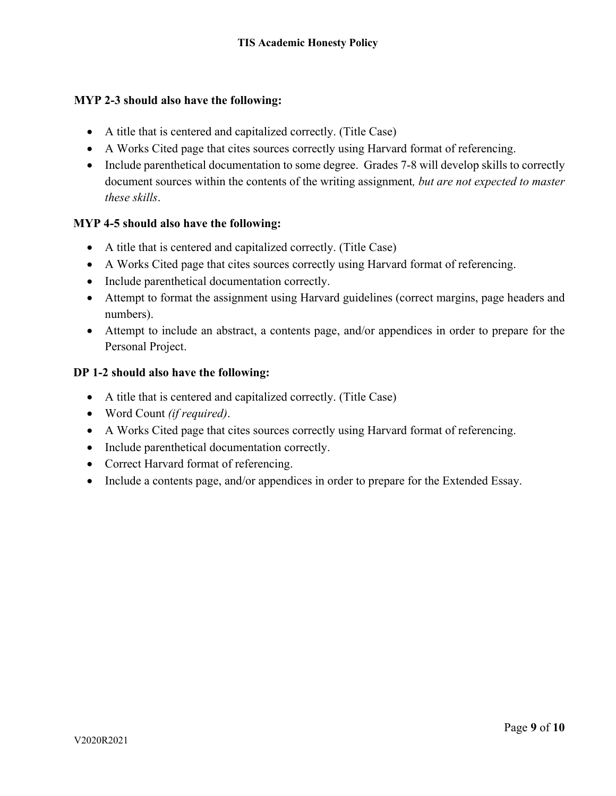## **MYP 2-3 should also have the following:**

- A title that is centered and capitalized correctly. (Title Case)
- A Works Cited page that cites sources correctly using Harvard format of referencing.
- Include parenthetical documentation to some degree. Grades 7-8 will develop skills to correctly document sources within the contents of the writing assignment*, but are not expected to master these skills*.

## **MYP 4-5 should also have the following:**

- A title that is centered and capitalized correctly. (Title Case)
- A Works Cited page that cites sources correctly using Harvard format of referencing.
- Include parenthetical documentation correctly.
- Attempt to format the assignment using Harvard guidelines (correct margins, page headers and numbers).
- Attempt to include an abstract, a contents page, and/or appendices in order to prepare for the Personal Project.

## **DP 1-2 should also have the following:**

- A title that is centered and capitalized correctly. (Title Case)
- Word Count *(if required)*.
- A Works Cited page that cites sources correctly using Harvard format of referencing.
- Include parenthetical documentation correctly.
- Correct Harvard format of referencing.
- Include a contents page, and/or appendices in order to prepare for the Extended Essay.